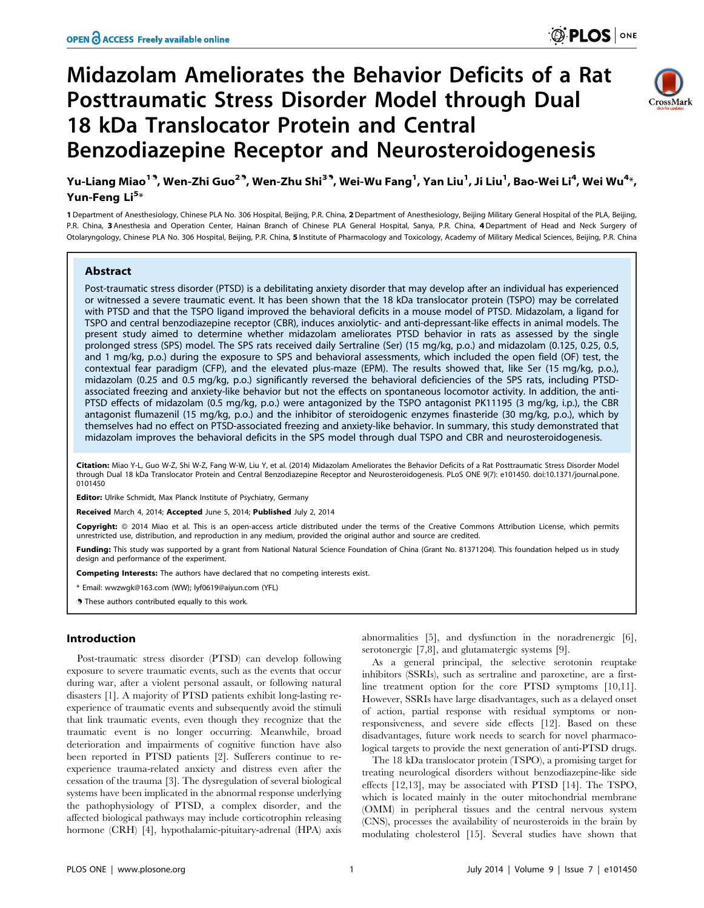# Midazolam Ameliorates the Behavior Deficits of a Rat Posttraumatic Stress Disorder Model through Dual 18 kDa Translocator Protein and Central Benzodiazepine Receptor and Neurosteroidogenesis



# Yu-Liang Miao<sup>19</sup>, Wen-Zhi Guo<sup>29</sup>, Wen-Zhu Shi<sup>39</sup>, Wei-Wu Fang<sup>1</sup>, Yan Liu<sup>1</sup>, Ji Liu<sup>1</sup>, Bao-Wei Li<sup>4</sup>, Wei Wu<sup>4</sup>\*, Yun-Feng Li<sup>5</sup>\*

1 Department of Anesthesiology, Chinese PLA No. 306 Hospital, Beijing, P.R. China, 2Department of Anesthesiology, Beijing Military General Hospital of the PLA, Beijing, P.R. China, 3 Anesthesia and Operation Center, Hainan Branch of Chinese PLA General Hospital, Sanya, P.R. China, 4 Department of Head and Neck Surgery of Otolaryngology, Chinese PLA No. 306 Hospital, Beijing, P.R. China, 5 Institute of Pharmacology and Toxicology, Academy of Military Medical Sciences, Beijing, P.R. China

# Abstract

Post-traumatic stress disorder (PTSD) is a debilitating anxiety disorder that may develop after an individual has experienced or witnessed a severe traumatic event. It has been shown that the 18 kDa translocator protein (TSPO) may be correlated with PTSD and that the TSPO ligand improved the behavioral deficits in a mouse model of PTSD. Midazolam, a ligand for TSPO and central benzodiazepine receptor (CBR), induces anxiolytic- and anti-depressant-like effects in animal models. The present study aimed to determine whether midazolam ameliorates PTSD behavior in rats as assessed by the single prolonged stress (SPS) model. The SPS rats received daily Sertraline (Ser) (15 mg/kg, p.o.) and midazolam (0.125, 0.25, 0.5, and 1 mg/kg, p.o.) during the exposure to SPS and behavioral assessments, which included the open field (OF) test, the contextual fear paradigm (CFP), and the elevated plus-maze (EPM). The results showed that, like Ser (15 mg/kg, p.o.), midazolam (0.25 and 0.5 mg/kg, p.o.) significantly reversed the behavioral deficiencies of the SPS rats, including PTSDassociated freezing and anxiety-like behavior but not the effects on spontaneous locomotor activity. In addition, the anti-PTSD effects of midazolam (0.5 mg/kg, p.o.) were antagonized by the TSPO antagonist PK11195 (3 mg/kg, i.p.), the CBR antagonist flumazenil (15 mg/kg, p.o.) and the inhibitor of steroidogenic enzymes finasteride (30 mg/kg, p.o.), which by themselves had no effect on PTSD-associated freezing and anxiety-like behavior. In summary, this study demonstrated that midazolam improves the behavioral deficits in the SPS model through dual TSPO and CBR and neurosteroidogenesis.

Citation: Miao Y-L, Guo W-Z, Shi W-Z, Fang W-W, Liu Y, et al. (2014) Midazolam Ameliorates the Behavior Deficits of a Rat Posttraumatic Stress Disorder Model through Dual 18 kDa Translocator Protein and Central Benzodiazepine Receptor and Neurosteroidogenesis. PLoS ONE 9(7): e101450. doi:10.1371/journal.pone. 0101450

Editor: Ulrike Schmidt, Max Planck Institute of Psychiatry, Germany

Received March 4, 2014; Accepted June 5, 2014; Published July 2, 2014

Copyright: © 2014 Miao et al. This is an open-access article distributed under the terms of the [Creative Commons Attribution License,](http://creativecommons.org/licenses/by/4.0/) which permits unrestricted use, distribution, and reproduction in any medium, provided the original author and source are credited.

Funding: This study was supported by a grant from National Natural Science Foundation of China (Grant No. 81371204). This foundation helped us in study design and performance of the experiment.

Competing Interests: The authors have declared that no competing interests exist.

\* Email: wwzwgk@163.com (WW); lyf0619@aiyun.com (YFL)

. These authors contributed equally to this work.

# Introduction

Post-traumatic stress disorder (PTSD) can develop following exposure to severe traumatic events, such as the events that occur during war, after a violent personal assault, or following natural disasters [1]. A majority of PTSD patients exhibit long-lasting reexperience of traumatic events and subsequently avoid the stimuli that link traumatic events, even though they recognize that the traumatic event is no longer occurring. Meanwhile, broad deterioration and impairments of cognitive function have also been reported in PTSD patients [2]. Sufferers continue to reexperience trauma-related anxiety and distress even after the cessation of the trauma [3]. The dysregulation of several biological systems have been implicated in the abnormal response underlying the pathophysiology of PTSD, a complex disorder, and the affected biological pathways may include corticotrophin releasing hormone (CRH) [4], hypothalamic-pituitary-adrenal (HPA) axis

abnormalities [5], and dysfunction in the noradrenergic [6], serotonergic [7,8], and glutamatergic systems [9].

As a general principal, the selective serotonin reuptake inhibitors (SSRIs), such as sertraline and paroxetine, are a firstline treatment option for the core PTSD symptoms [10,11]. However, SSRIs have large disadvantages, such as a delayed onset of action, partial response with residual symptoms or nonresponsiveness, and severe side effects [12]. Based on these disadvantages, future work needs to search for novel pharmacological targets to provide the next generation of anti-PTSD drugs.

The 18 kDa translocator protein (TSPO), a promising target for treating neurological disorders without benzodiazepine-like side effects [12,13], may be associated with PTSD [14]. The TSPO, which is located mainly in the outer mitochondrial membrane (OMM) in peripheral tissues and the central nervous system (CNS), processes the availability of neurosteroids in the brain by modulating cholesterol [15]. Several studies have shown that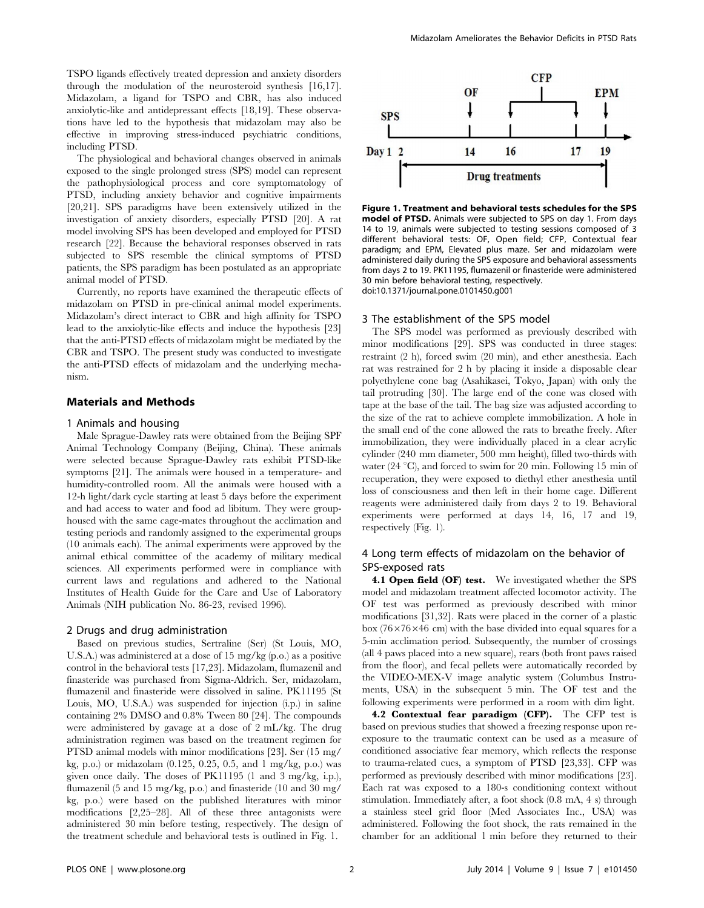TSPO ligands effectively treated depression and anxiety disorders through the modulation of the neurosteroid synthesis [16,17]. Midazolam, a ligand for TSPO and CBR, has also induced anxiolytic-like and antidepressant effects [18,19]. These observations have led to the hypothesis that midazolam may also be effective in improving stress-induced psychiatric conditions, including PTSD.

The physiological and behavioral changes observed in animals exposed to the single prolonged stress (SPS) model can represent the pathophysiological process and core symptomatology of PTSD, including anxiety behavior and cognitive impairments [20,21]. SPS paradigms have been extensively utilized in the investigation of anxiety disorders, especially PTSD [20]. A rat model involving SPS has been developed and employed for PTSD research [22]. Because the behavioral responses observed in rats subjected to SPS resemble the clinical symptoms of PTSD patients, the SPS paradigm has been postulated as an appropriate animal model of PTSD.

Currently, no reports have examined the therapeutic effects of midazolam on PTSD in pre-clinical animal model experiments. Midazolam's direct interact to CBR and high affinity for TSPO lead to the anxiolytic-like effects and induce the hypothesis [23] that the anti-PTSD effects of midazolam might be mediated by the CBR and TSPO. The present study was conducted to investigate the anti-PTSD effects of midazolam and the underlying mechanism.

#### Materials and Methods

#### 1 Animals and housing

Male Sprague-Dawley rats were obtained from the Beijing SPF Animal Technology Company (Beijing, China). These animals were selected because Sprague-Dawley rats exhibit PTSD-like symptoms [21]. The animals were housed in a temperature- and humidity-controlled room. All the animals were housed with a 12-h light/dark cycle starting at least 5 days before the experiment and had access to water and food ad libitum. They were grouphoused with the same cage-mates throughout the acclimation and testing periods and randomly assigned to the experimental groups (10 animals each). The animal experiments were approved by the animal ethical committee of the academy of military medical sciences. All experiments performed were in compliance with current laws and regulations and adhered to the National Institutes of Health Guide for the Care and Use of Laboratory Animals (NIH publication No. 86-23, revised 1996).

#### 2 Drugs and drug administration

Based on previous studies, Sertraline (Ser) (St Louis, MO, U.S.A.) was administered at a dose of 15 mg/kg (p.o.) as a positive control in the behavioral tests [17,23]. Midazolam, flumazenil and finasteride was purchased from Sigma-Aldrich. Ser, midazolam, flumazenil and finasteride were dissolved in saline. PK11195 (St Louis, MO, U.S.A.) was suspended for injection (i.p.) in saline containing 2% DMSO and 0.8% Tween 80 [24]. The compounds were administered by gavage at a dose of 2 mL/kg. The drug administration regimen was based on the treatment regimen for PTSD animal models with minor modifications [23]. Ser (15 mg/ kg, p.o.) or midazolam (0.125, 0.25, 0.5, and 1 mg/kg, p.o.) was given once daily. The doses of PK11195 (1 and 3 mg/kg, i.p.), flumazenil (5 and 15 mg/kg, p.o.) and finasteride (10 and 30 mg/ kg, p.o.) were based on the published literatures with minor modifications [2,25–28]. All of these three antagonists were administered 30 min before testing, respectively. The design of the treatment schedule and behavioral tests is outlined in Fig. 1.



Figure 1. Treatment and behavioral tests schedules for the SPS model of PTSD. Animals were subjected to SPS on day 1. From days 14 to 19, animals were subjected to testing sessions composed of 3 different behavioral tests: OF, Open field; CFP, Contextual fear paradigm; and EPM, Elevated plus maze. Ser and midazolam were administered daily during the SPS exposure and behavioral assessments from days 2 to 19. PK11195, flumazenil or finasteride were administered 30 min before behavioral testing, respectively. doi:10.1371/journal.pone.0101450.g001

#### 3 The establishment of the SPS model

The SPS model was performed as previously described with minor modifications [29]. SPS was conducted in three stages: restraint (2 h), forced swim (20 min), and ether anesthesia. Each rat was restrained for 2 h by placing it inside a disposable clear polyethylene cone bag (Asahikasei, Tokyo, Japan) with only the tail protruding [30]. The large end of the cone was closed with tape at the base of the tail. The bag size was adjusted according to the size of the rat to achieve complete immobilization. A hole in the small end of the cone allowed the rats to breathe freely. After immobilization, they were individually placed in a clear acrylic cylinder (240 mm diameter, 500 mm height), filled two-thirds with water (24  $^{\circ}$ C), and forced to swim for 20 min. Following 15 min of recuperation, they were exposed to diethyl ether anesthesia until loss of consciousness and then left in their home cage. Different reagents were administered daily from days 2 to 19. Behavioral experiments were performed at days 14, 16, 17 and 19, respectively (Fig. 1).

# 4 Long term effects of midazolam on the behavior of SPS-exposed rats

4.1 Open field (OF) test. We investigated whether the SPS model and midazolam treatment affected locomotor activity. The OF test was performed as previously described with minor modifications [31,32]. Rats were placed in the corner of a plastic box  $(76\times76\times46$  cm) with the base divided into equal squares for a 5-min acclimation period. Subsequently, the number of crossings (all 4 paws placed into a new square), rears (both front paws raised from the floor), and fecal pellets were automatically recorded by the VIDEO-MEX-V image analytic system (Columbus Instruments, USA) in the subsequent 5 min. The OF test and the following experiments were performed in a room with dim light.

4.2 Contextual fear paradigm (CFP). The CFP test is based on previous studies that showed a freezing response upon reexposure to the traumatic context can be used as a measure of conditioned associative fear memory, which reflects the response to trauma-related cues, a symptom of PTSD [23,33]. CFP was performed as previously described with minor modifications [23]. Each rat was exposed to a 180-s conditioning context without stimulation. Immediately after, a foot shock (0.8 mA, 4 s) through a stainless steel grid floor (Med Associates Inc., USA) was administered. Following the foot shock, the rats remained in the chamber for an additional 1 min before they returned to their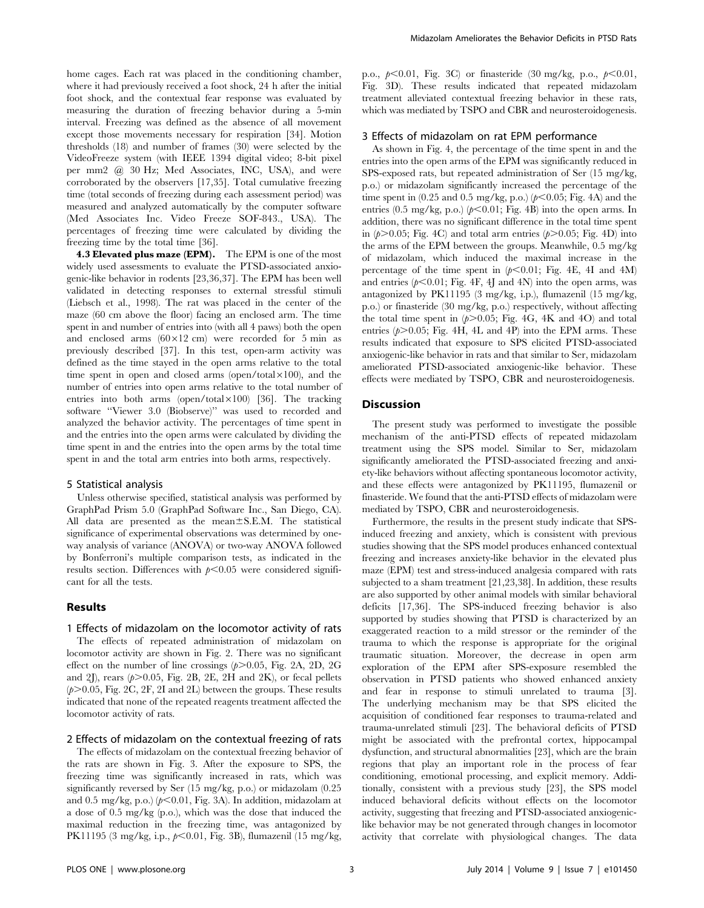home cages. Each rat was placed in the conditioning chamber, where it had previously received a foot shock, 24 h after the initial foot shock, and the contextual fear response was evaluated by measuring the duration of freezing behavior during a 5-min interval. Freezing was defined as the absence of all movement except those movements necessary for respiration [34]. Motion thresholds (18) and number of frames (30) were selected by the VideoFreeze system (with IEEE 1394 digital video; 8-bit pixel per mm2 @ 30 Hz; Med Associates, INC, USA), and were corroborated by the observers [17,35]. Total cumulative freezing time (total seconds of freezing during each assessment period) was measured and analyzed automatically by the computer software (Med Associates Inc. Video Freeze SOF-843., USA). The percentages of freezing time were calculated by dividing the freezing time by the total time [36].

4.3 Elevated plus maze (EPM). The EPM is one of the most widely used assessments to evaluate the PTSD-associated anxiogenic-like behavior in rodents [23,36,37]. The EPM has been well validated in detecting responses to external stressful stimuli (Liebsch et al., 1998). The rat was placed in the center of the maze (60 cm above the floor) facing an enclosed arm. The time spent in and number of entries into (with all 4 paws) both the open and enclosed arms  $(60\times12$  cm) were recorded for 5 min as previously described [37]. In this test, open-arm activity was defined as the time stayed in the open arms relative to the total time spent in open and closed arms (open/total $\times100$ ), and the number of entries into open arms relative to the total number of entries into both arms (open/total $\times$ 100) [36]. The tracking software ''Viewer 3.0 (Biobserve)'' was used to recorded and analyzed the behavior activity. The percentages of time spent in and the entries into the open arms were calculated by dividing the time spent in and the entries into the open arms by the total time spent in and the total arm entries into both arms, respectively.

#### 5 Statistical analysis

Unless otherwise specified, statistical analysis was performed by GraphPad Prism 5.0 (GraphPad Software Inc., San Diego, CA). All data are presented as the mean $\pm$ S.E.M. The statistical significance of experimental observations was determined by oneway analysis of variance (ANOVA) or two-way ANOVA followed by Bonferroni's multiple comparison tests, as indicated in the results section. Differences with  $p<0.05$  were considered significant for all the tests.

#### Results

#### 1 Effects of midazolam on the locomotor activity of rats

The effects of repeated administration of midazolam on locomotor activity are shown in Fig. 2. There was no significant effect on the number of line crossings  $(p>0.05,$  Fig. 2A, 2D, 2G and 2J), rears  $(p>0.05$ , Fig. 2B, 2E, 2H and 2K), or fecal pellets  $(p>0.05,$  Fig. 2C, 2F, 2I and 2L) between the groups. These results indicated that none of the repeated reagents treatment affected the locomotor activity of rats.

# 2 Effects of midazolam on the contextual freezing of rats

The effects of midazolam on the contextual freezing behavior of the rats are shown in Fig. 3. After the exposure to SPS, the freezing time was significantly increased in rats, which was significantly reversed by Ser (15 mg/kg, p.o.) or midazolam (0.25 and 0.5 mg/kg, p.o.)  $(p<0.01$ , Fig. 3A). In addition, midazolam at a dose of 0.5 mg/kg (p.o.), which was the dose that induced the maximal reduction in the freezing time, was antagonized by PK11195 (3 mg/kg, i.p.,  $p$ <0.01, Fig. 3B), flumazenil (15 mg/kg,

p.o.,  $p<0.01$ , Fig. 3C) or finasteride (30 mg/kg, p.o.,  $p<0.01$ , Fig. 3D). These results indicated that repeated midazolam treatment alleviated contextual freezing behavior in these rats, which was mediated by TSPO and CBR and neurosteroidogenesis.

## 3 Effects of midazolam on rat EPM performance

As shown in Fig. 4, the percentage of the time spent in and the entries into the open arms of the EPM was significantly reduced in SPS-exposed rats, but repeated administration of Ser (15 mg/kg, p.o.) or midazolam significantly increased the percentage of the time spent in  $(0.25 \text{ and } 0.5 \text{ mg/kg}, \text{p.o.}) (\cancel{p} < 0.05; \text{Fig. 4A})$  and the entries (0.5 mg/kg, p.o.) ( $p<0.01$ ; Fig. 4B) into the open arms. In addition, there was no significant difference in the total time spent in  $(p>0.05;$  Fig. 4C) and total arm entries  $(p>0.05;$  Fig. 4D) into the arms of the EPM between the groups. Meanwhile, 0.5 mg/kg of midazolam, which induced the maximal increase in the percentage of the time spent in  $(p<0.01;$  Fig. 4E, 4I and 4M) and entries  $(p<0.01;$  Fig. 4F, 4J and 4N) into the open arms, was antagonized by PK11195 (3 mg/kg, i.p.), flumazenil (15 mg/kg, p.o.) or finasteride (30 mg/kg, p.o.) respectively, without affecting the total time spent in  $(p>0.05;$  Fig. 4G, 4K and 4O) and total entries  $(p>0.05$ ; Fig. 4H, 4L and 4P) into the EPM arms. These results indicated that exposure to SPS elicited PTSD-associated anxiogenic-like behavior in rats and that similar to Ser, midazolam ameliorated PTSD-associated anxiogenic-like behavior. These effects were mediated by TSPO, CBR and neurosteroidogenesis.

# Discussion

The present study was performed to investigate the possible mechanism of the anti-PTSD effects of repeated midazolam treatment using the SPS model. Similar to Ser, midazolam significantly ameliorated the PTSD-associated freezing and anxiety-like behaviors without affecting spontaneous locomotor activity, and these effects were antagonized by PK11195, flumazenil or finasteride. We found that the anti-PTSD effects of midazolam were mediated by TSPO, CBR and neurosteroidogenesis.

Furthermore, the results in the present study indicate that SPSinduced freezing and anxiety, which is consistent with previous studies showing that the SPS model produces enhanced contextual freezing and increases anxiety-like behavior in the elevated plus maze (EPM) test and stress-induced analgesia compared with rats subjected to a sham treatment [21,23,38]. In addition, these results are also supported by other animal models with similar behavioral deficits [17,36]. The SPS-induced freezing behavior is also supported by studies showing that PTSD is characterized by an exaggerated reaction to a mild stressor or the reminder of the trauma to which the response is appropriate for the original traumatic situation. Moreover, the decrease in open arm exploration of the EPM after SPS-exposure resembled the observation in PTSD patients who showed enhanced anxiety and fear in response to stimuli unrelated to trauma [3]. The underlying mechanism may be that SPS elicited the acquisition of conditioned fear responses to trauma-related and trauma-unrelated stimuli [23]. The behavioral deficits of PTSD might be associated with the prefrontal cortex, hippocampal dysfunction, and structural abnormalities [23], which are the brain regions that play an important role in the process of fear conditioning, emotional processing, and explicit memory. Additionally, consistent with a previous study [23], the SPS model induced behavioral deficits without effects on the locomotor activity, suggesting that freezing and PTSD-associated anxiogeniclike behavior may be not generated through changes in locomotor activity that correlate with physiological changes. The data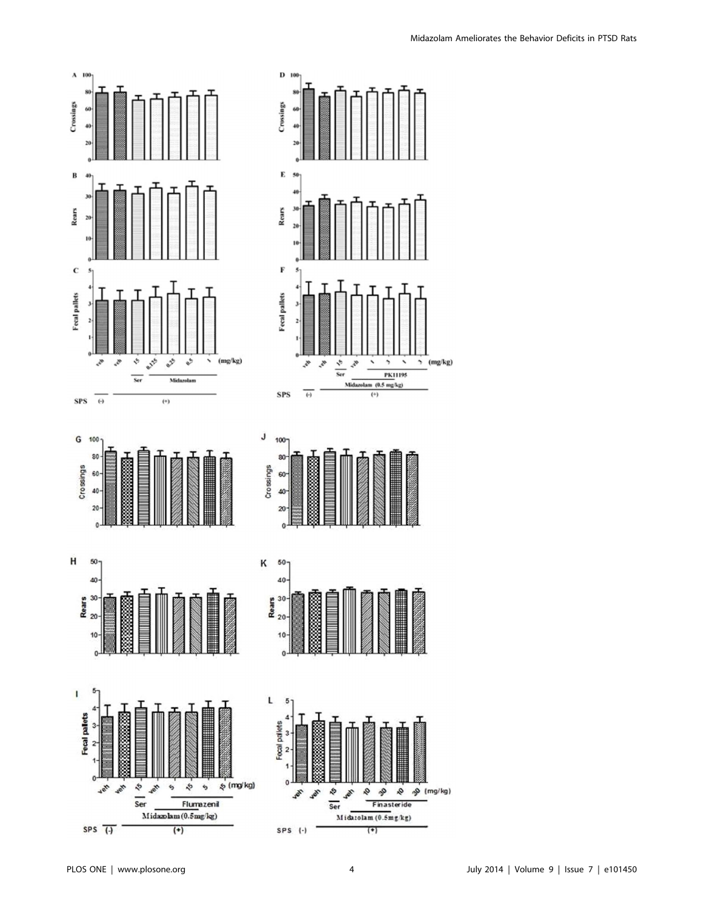

 $\gamma$  (mg/kg)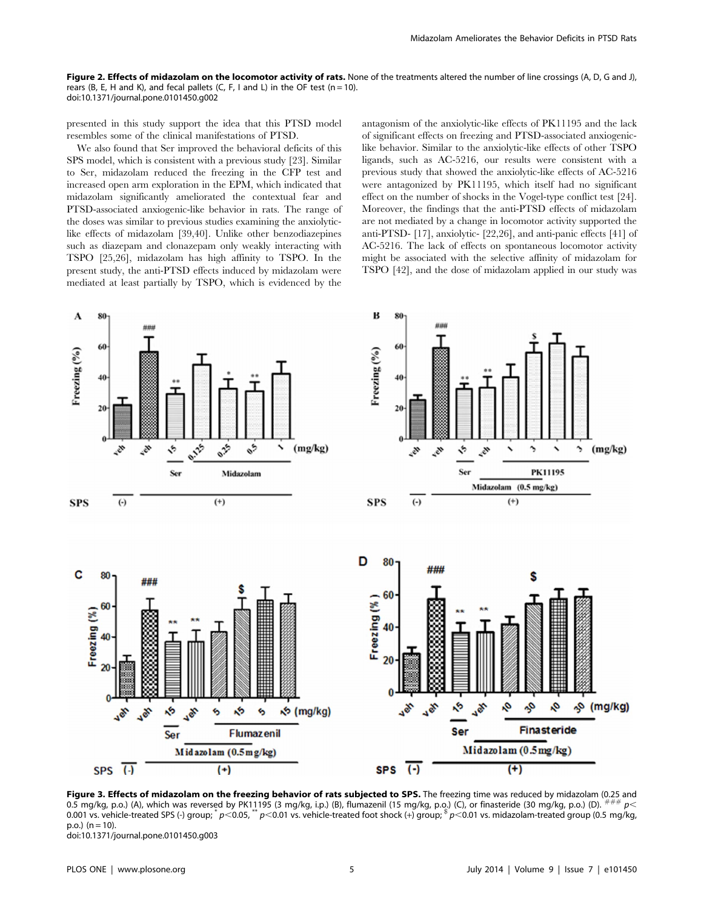Figure 2. Effects of midazolam on the locomotor activity of rats. None of the treatments altered the number of line crossings (A, D, G and J), rears (B, E, H and K), and fecal pallets (C, F, I and L) in the OF test (n = 10). doi:10.1371/journal.pone.0101450.g002

presented in this study support the idea that this PTSD model resembles some of the clinical manifestations of PTSD.

We also found that Ser improved the behavioral deficits of this SPS model, which is consistent with a previous study [23]. Similar to Ser, midazolam reduced the freezing in the CFP test and increased open arm exploration in the EPM, which indicated that midazolam significantly ameliorated the contextual fear and PTSD-associated anxiogenic-like behavior in rats. The range of the doses was similar to previous studies examining the anxiolyticlike effects of midazolam [39,40]. Unlike other benzodiazepines such as diazepam and clonazepam only weakly interacting with TSPO [25,26], midazolam has high affinity to TSPO. In the present study, the anti-PTSD effects induced by midazolam were mediated at least partially by TSPO, which is evidenced by the antagonism of the anxiolytic-like effects of PK11195 and the lack of significant effects on freezing and PTSD-associated anxiogeniclike behavior. Similar to the anxiolytic-like effects of other TSPO ligands, such as AC-5216, our results were consistent with a previous study that showed the anxiolytic-like effects of AC-5216 were antagonized by PK11195, which itself had no significant effect on the number of shocks in the Vogel-type conflict test [24]. Moreover, the findings that the anti-PTSD effects of midazolam are not mediated by a change in locomotor activity supported the anti-PTSD- [17], anxiolytic- [22,26], and anti-panic effects [41] of AC-5216. The lack of effects on spontaneous locomotor activity might be associated with the selective affinity of midazolam for TSPO [42], and the dose of midazolam applied in our study was



Figure 3. Effects of midazolam on the freezing behavior of rats subjected to SPS. The freezing time was reduced by midazolam (0.25 and 0.5 mg/kg, p.o.) (A), which was reversed by PK11195 (3 mg/kg, i.p.) (B), flumazenil (15 mg/kg, p.o.) (C), or finasteride (30 mg/kg, p.o.) (D).  $\# \# p \lt$ 0.001 vs. vehicle-treated SPS (-) group;  $p < 0.05$ ,  $p < 0.01$  vs. vehicle-treated foot shock (+) group;  $p > 0.01$  vs. midazolam-treated group (0.5 mg/kg, p.o.)  $(n = 10)$ .

doi:10.1371/journal.pone.0101450.g003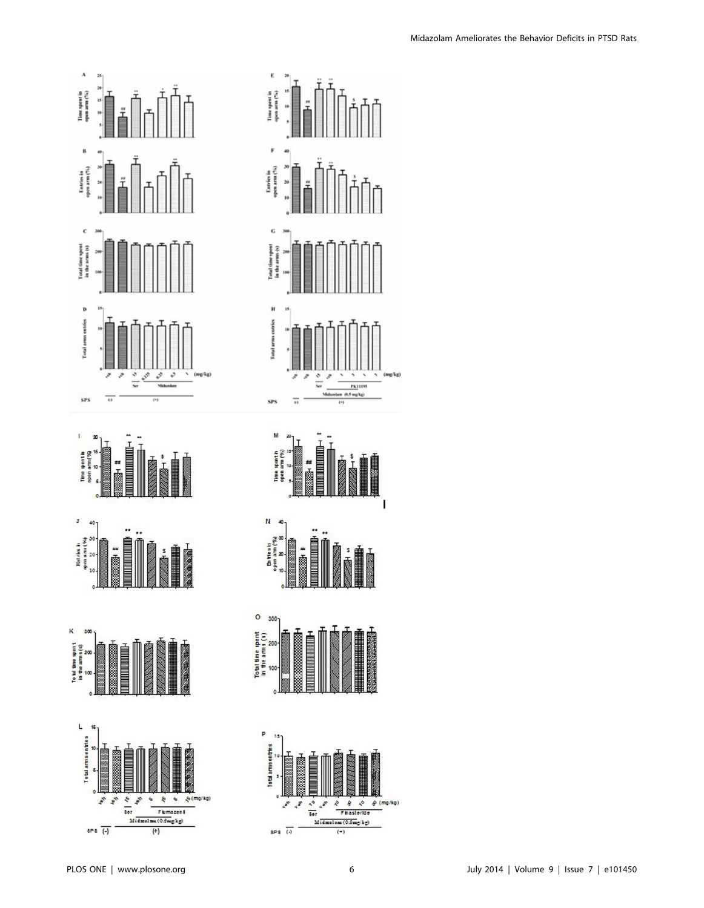

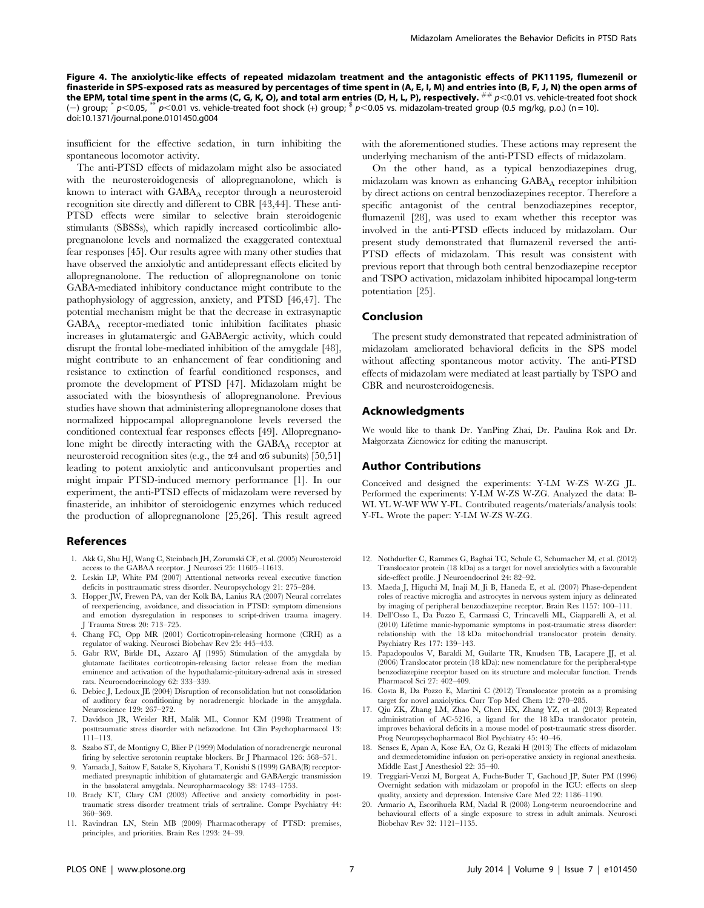Figure 4. The anxiolytic-like effects of repeated midazolam treatment and the antagonistic effects of PK11195, flumezenil or finasteride in SPS-exposed rats as measured by percentages of time spent in (A, E, I, M) and entries into (B, F, J, N) the open arms of the EPM, total time spent in the arms (C, G, K, O), and total arm entries (D, H, L, P), respectively.  $^{++}$   $\mu$   $\geq$  0.01 vs. vehicle-treated foot shock (-) group;  $p > 0.05$ ,  $p < 0.01$  vs. vehicle-treated foot shock (+) group;  $p > 0.05$  vs. midazolam-treated group (0.5 mg/kg, p.o.) (n = 10). doi:10.1371/journal.pone.0101450.g004

insufficient for the effective sedation, in turn inhibiting the spontaneous locomotor activity.

The anti-PTSD effects of midazolam might also be associated with the neurosteroidogenesis of allopregnanolone, which is known to interact with GABAA receptor through a neurosteroid recognition site directly and different to CBR [43,44]. These anti-PTSD effects were similar to selective brain steroidogenic stimulants (SBSSs), which rapidly increased corticolimbic allopregnanolone levels and normalized the exaggerated contextual fear responses [45]. Our results agree with many other studies that have observed the anxiolytic and antidepressant effects elicited by allopregnanolone. The reduction of allopregnanolone on tonic GABA-mediated inhibitory conductance might contribute to the pathophysiology of aggression, anxiety, and PTSD [46,47]. The potential mechanism might be that the decrease in extrasynaptic GABAA receptor-mediated tonic inhibition facilitates phasic increases in glutamatergic and GABAergic activity, which could disrupt the frontal lobe-mediated inhibition of the amygdale [48], might contribute to an enhancement of fear conditioning and resistance to extinction of fearful conditioned responses, and promote the development of PTSD [47]. Midazolam might be associated with the biosynthesis of allopregnanolone. Previous studies have shown that administering allopregnanolone doses that normalized hippocampal allopregnanolone levels reversed the conditioned contextual fear responses effects [49]. Allopregnanolone might be directly interacting with the GABAA receptor at neurosteroid recognition sites (e.g., the  $\alpha$ 4 and  $\alpha$ 6 subunits) [50,51] leading to potent anxiolytic and anticonvulsant properties and might impair PTSD-induced memory performance [1]. In our experiment, the anti-PTSD effects of midazolam were reversed by finasteride, an inhibitor of steroidogenic enzymes which reduced the production of allopregnanolone [25,26]. This result agreed

#### References

- 1. Akk G, Shu HJ, Wang C, Steinbach JH, Zorumski CF, et al. (2005) Neurosteroid access to the GABAA receptor. J Neurosci 25: 11605–11613.
- 2. Leskin LP, White PM (2007) Attentional networks reveal executive function deficits in posttraumatic stress disorder. Neuropsychology 21: 275–284.
- 3. Hopper JW, Frewen PA, van der Kolk BA, Lanius RA (2007) Neural correlates of reexperiencing, avoidance, and dissociation in PTSD: symptom dimensions and emotion dysregulation in responses to script-driven trauma imagery. J Trauma Stress 20: 713–725.
- 4. Chang FC, Opp MR (2001) Corticotropin-releasing hormone (CRH) as a regulator of waking. Neurosci Biobehav Rev 25: 445–453.
- 5. Gabr RW, Birkle DL, Azzaro AJ (1995) Stimulation of the amygdala by glutamate facilitates corticotropin-releasing factor release from the median eminence and activation of the hypothalamic-pituitary-adrenal axis in stressed rats. Neuroendocrinology 62: 333–339.
- 6. Debiec J, Ledoux JE (2004) Disruption of reconsolidation but not consolidation of auditory fear conditioning by noradrenergic blockade in the amygdala. Neuroscience 129: 267–272.
- 7. Davidson JR, Weisler RH, Malik ML, Connor KM (1998) Treatment of posttraumatic stress disorder with nefazodone. Int Clin Psychopharmacol 13: 111–113.
- 8. Szabo ST, de Montigny C, Blier P (1999) Modulation of noradrenergic neuronal firing by selective serotonin reuptake blockers. Br J Pharmacol 126: 568–571.
- 9. Yamada J, Saitow F, Satake S, Kiyohara T, Konishi S (1999) GABA(B) receptormediated presynaptic inhibition of glutamatergic and GABAergic transmission in the basolateral amygdala. Neuropharmacology 38: 1743–1753.
- 10. Brady KT, Clary CM (2003) Affective and anxiety comorbidity in posttraumatic stress disorder treatment trials of sertraline. Compr Psychiatry 44: 360–369.
- 11. Ravindran LN, Stein MB (2009) Pharmacotherapy of PTSD: premises, principles, and priorities. Brain Res 1293: 24–39.

with the aforementioned studies. These actions may represent the underlying mechanism of the anti-PTSD effects of midazolam.

On the other hand, as a typical benzodiazepines drug, midazolam was known as enhancing GABAA receptor inhibition by direct actions on central benzodiazepines receptor. Therefore a specific antagonist of the central benzodiazepines receptor, flumazenil [28], was used to exam whether this receptor was involved in the anti-PTSD effects induced by midazolam. Our present study demonstrated that flumazenil reversed the anti-PTSD effects of midazolam. This result was consistent with previous report that through both central benzodiazepine receptor and TSPO activation, midazolam inhibited hipocampal long-term potentiation [25].

#### Conclusion

The present study demonstrated that repeated administration of midazolam ameliorated behavioral deficits in the SPS model without affecting spontaneous motor activity. The anti-PTSD effects of midazolam were mediated at least partially by TSPO and CBR and neurosteroidogenesis.

## Acknowledgments

We would like to thank Dr. YanPing Zhai, Dr. Paulina Rok and Dr. Małgorzata Zienowicz for editing the manuscript.

#### Author Contributions

Conceived and designed the experiments: Y-LM W-ZS W-ZG JL. Performed the experiments: Y-LM W-ZS W-ZG. Analyzed the data: B-WL YL W-WF WW Y-FL. Contributed reagents/materials/analysis tools: Y-FL. Wrote the paper: Y-LM W-ZS W-ZG.

- 12. Nothdurfter C, Rammes G, Baghai TC, Schule C, Schumacher M, et al. (2012) Translocator protein (18 kDa) as a target for novel anxiolytics with a favourable side-effect profile. J Neuroendocrinol 24: 82–92.
- 13. Maeda J, Higuchi M, Inaji M, Ji B, Haneda E, et al. (2007) Phase-dependent roles of reactive microglia and astrocytes in nervous system injury as delineated by imaging of peripheral benzodiazepine receptor. Brain Res 1157: 100–111.
- 14. Dell'Osso L, Da Pozzo E, Carmassi C, Trincavelli ML, Ciapparelli A, et al. (2010) Lifetime manic-hypomanic symptoms in post-traumatic stress disorder: relationship with the 18 kDa mitochondrial translocator protein density. Psychiatry Res 177: 139–143.
- 15. Papadopoulos V, Baraldi M, Guilarte TR, Knudsen TB, Lacapere JJ, et al. (2006) Translocator protein (18 kDa): new nomenclature for the peripheral-type benzodiazepine receptor based on its structure and molecular function. Trends Pharmacol Sci 27: 402–409.
- 16. Costa B, Da Pozzo E, Martini C (2012) Translocator protein as a promising target for novel anxiolytics. Curr Top Med Chem 12: 270–285.
- 17. Qiu ZK, Zhang LM, Zhao N, Chen HX, Zhang YZ, et al. (2013) Repeated administration of AC-5216, a ligand for the 18 kDa translocator protein, improves behavioral deficits in a mouse model of post-traumatic stress disorder. Prog Neuropsychopharmacol Biol Psychiatry 45: 40–46.
- 18. Senses E, Apan A, Kose EA, Oz G, Rezaki H (2013) The effects of midazolam and dexmedetomidine infusion on peri-operative anxiety in regional anesthesia. Middle East J Anesthesiol 22: 35–40.
- 19. Treggiari-Venzi M, Borgeat A, Fuchs-Buder T, Gachoud JP, Suter PM (1996) Overnight sedation with midazolam or propofol in the ICU: effects on sleep quality, anxiety and depression. Intensive Care Med 22: 1186–1190.
- 20. Armario A, Escorihuela RM, Nadal R (2008) Long-term neuroendocrine and behavioural effects of a single exposure to stress in adult animals. Neurosci Biobehav Rev 32: 1121–1135.